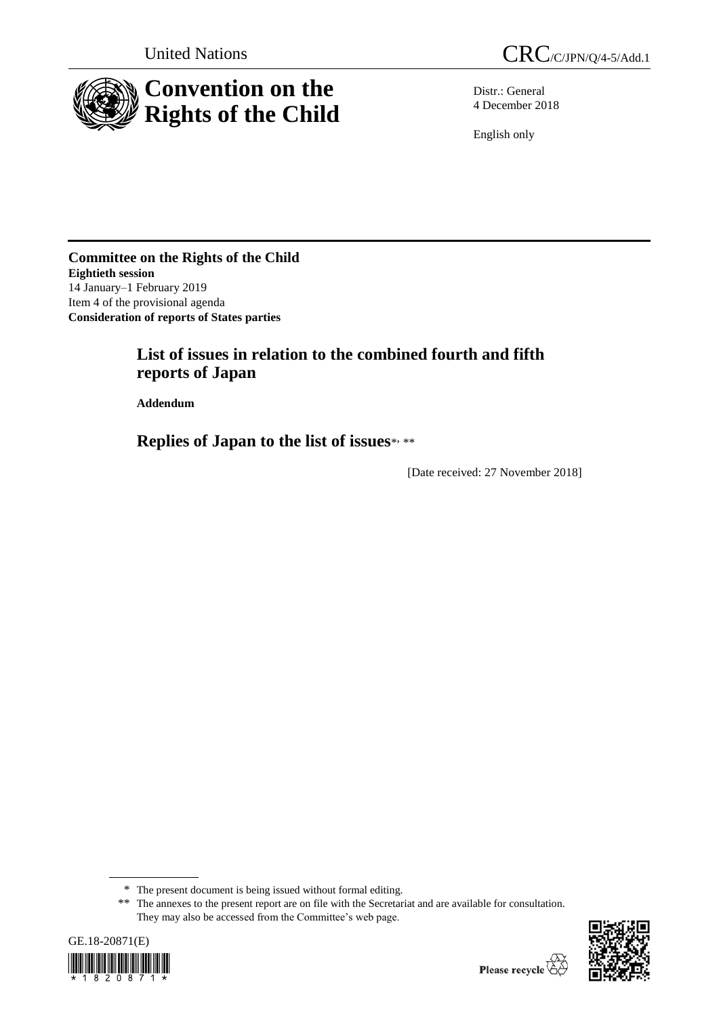

Distr.: General 4 December 2018

English only

**Committee on the Rights of the Child Eightieth session** 14 January–1 February 2019 Item 4 of the provisional agenda **Consideration of reports of States parties**

# **List of issues in relation to the combined fourth and fifth reports of Japan**

**Addendum**

**Replies of Japan to the list of issues**\* , \*\*

[Date received: 27 November 2018]

<sup>\*\*</sup> The annexes to the present report are on file with the Secretariat and are available for consultation. They may also be accessed from the Committee's web page.





<sup>\*</sup> The present document is being issued without formal editing.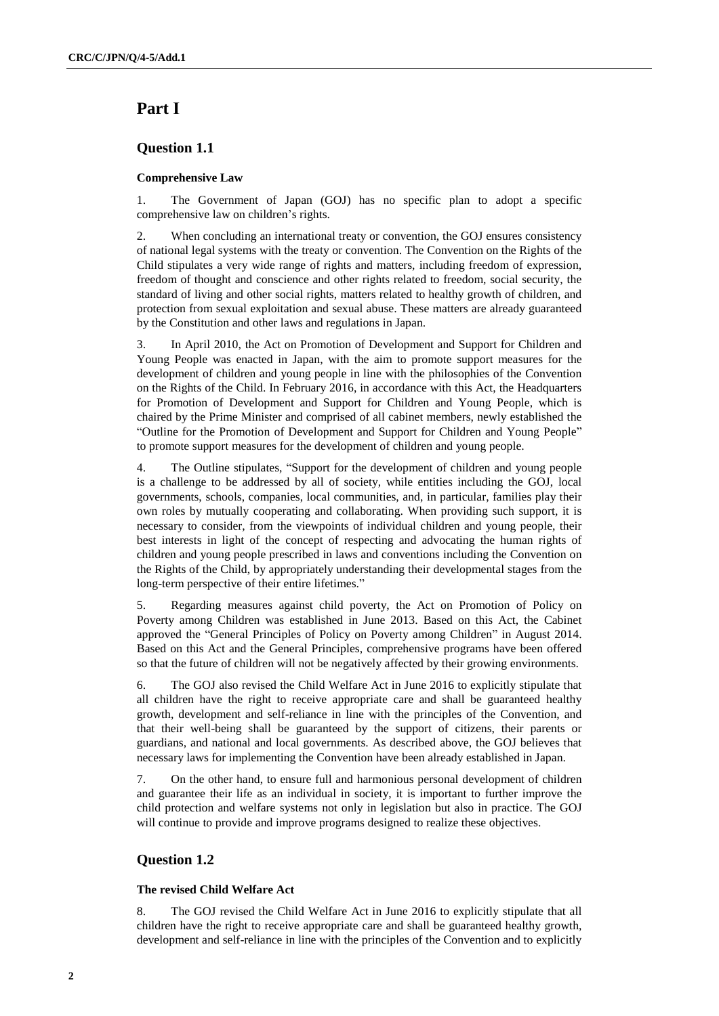# **Part Ⅰ**

# **Question 1.1**

### **Comprehensive Law**

1. The Government of Japan (GOJ) has no specific plan to adopt a specific comprehensive law on children's rights.

2. When concluding an international treaty or convention, the GOJ ensures consistency of national legal systems with the treaty or convention. The Convention on the Rights of the Child stipulates a very wide range of rights and matters, including freedom of expression, freedom of thought and conscience and other rights related to freedom, social security, the standard of living and other social rights, matters related to healthy growth of children, and protection from sexual exploitation and sexual abuse. These matters are already guaranteed by the Constitution and other laws and regulations in Japan.

3. In April 2010, the Act on Promotion of Development and Support for Children and Young People was enacted in Japan, with the aim to promote support measures for the development of children and young people in line with the philosophies of the Convention on the Rights of the Child. In February 2016, in accordance with this Act, the Headquarters for Promotion of Development and Support for Children and Young People, which is chaired by the Prime Minister and comprised of all cabinet members, newly established the "Outline for the Promotion of Development and Support for Children and Young People" to promote support measures for the development of children and young people.

4. The Outline stipulates, "Support for the development of children and young people is a challenge to be addressed by all of society, while entities including the GOJ, local governments, schools, companies, local communities, and, in particular, families play their own roles by mutually cooperating and collaborating. When providing such support, it is necessary to consider, from the viewpoints of individual children and young people, their best interests in light of the concept of respecting and advocating the human rights of children and young people prescribed in laws and conventions including the Convention on the Rights of the Child, by appropriately understanding their developmental stages from the long-term perspective of their entire lifetimes."

5. Regarding measures against child poverty, the Act on Promotion of Policy on Poverty among Children was established in June 2013. Based on this Act, the Cabinet approved the "General Principles of Policy on Poverty among Children" in August 2014. Based on this Act and the General Principles, comprehensive programs have been offered so that the future of children will not be negatively affected by their growing environments.

6. The GOJ also revised the Child Welfare Act in June 2016 to explicitly stipulate that all children have the right to receive appropriate care and shall be guaranteed healthy growth, development and self-reliance in line with the principles of the Convention, and that their well-being shall be guaranteed by the support of citizens, their parents or guardians, and national and local governments. As described above, the GOJ believes that necessary laws for implementing the Convention have been already established in Japan.

7. On the other hand, to ensure full and harmonious personal development of children and guarantee their life as an individual in society, it is important to further improve the child protection and welfare systems not only in legislation but also in practice. The GOJ will continue to provide and improve programs designed to realize these objectives.

# **Question 1.2**

### **The revised Child Welfare Act**

8. The GOJ revised the Child Welfare Act in June 2016 to explicitly stipulate that all children have the right to receive appropriate care and shall be guaranteed healthy growth, development and self-reliance in line with the principles of the Convention and to explicitly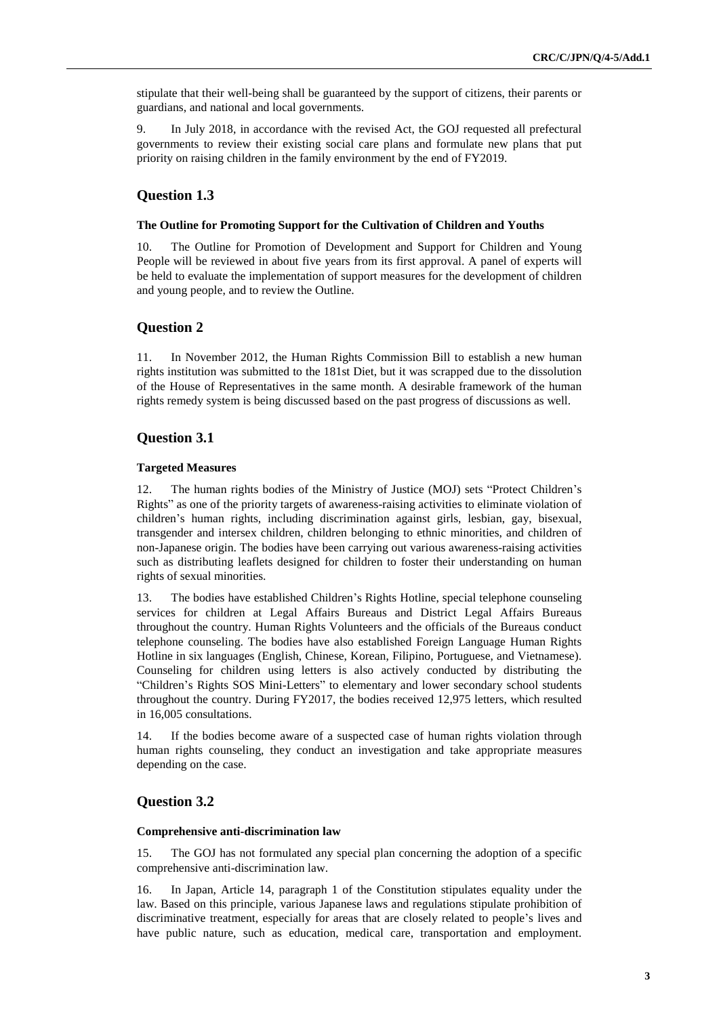stipulate that their well-being shall be guaranteed by the support of citizens, their parents or guardians, and national and local governments.

9. In July 2018, in accordance with the revised Act, the GOJ requested all prefectural governments to review their existing social care plans and formulate new plans that put priority on raising children in the family environment by the end of FY2019.

### **Question 1.3**

#### **The Outline for Promoting Support for the Cultivation of Children and Youths**

10. The Outline for Promotion of Development and Support for Children and Young People will be reviewed in about five years from its first approval. A panel of experts will be held to evaluate the implementation of support measures for the development of children and young people, and to review the Outline.

# **Question 2**

11. In November 2012, the Human Rights Commission Bill to establish a new human rights institution was submitted to the 181st Diet, but it was scrapped due to the dissolution of the House of Representatives in the same month. A desirable framework of the human rights remedy system is being discussed based on the past progress of discussions as well.

### **Question 3.1**

#### **Targeted Measures**

12. The human rights bodies of the Ministry of Justice (MOJ) sets "Protect Children's Rights" as one of the priority targets of awareness-raising activities to eliminate violation of children's human rights, including discrimination against girls, lesbian, gay, bisexual, transgender and intersex children, children belonging to ethnic minorities, and children of non-Japanese origin. The bodies have been carrying out various awareness-raising activities such as distributing leaflets designed for children to foster their understanding on human rights of sexual minorities.

13. The bodies have established Children's Rights Hotline, special telephone counseling services for children at Legal Affairs Bureaus and District Legal Affairs Bureaus throughout the country. Human Rights Volunteers and the officials of the Bureaus conduct telephone counseling. The bodies have also established Foreign Language Human Rights Hotline in six languages (English, Chinese, Korean, Filipino, Portuguese, and Vietnamese). Counseling for children using letters is also actively conducted by distributing the "Children's Rights SOS Mini-Letters" to elementary and lower secondary school students throughout the country. During FY2017, the bodies received 12,975 letters, which resulted in 16,005 consultations.

14. If the bodies become aware of a suspected case of human rights violation through human rights counseling, they conduct an investigation and take appropriate measures depending on the case.

### **Question 3.2**

#### **Comprehensive anti-discrimination law**

15. The GOJ has not formulated any special plan concerning the adoption of a specific comprehensive anti-discrimination law.

16. In Japan, Article 14, paragraph 1 of the Constitution stipulates equality under the law. Based on this principle, various Japanese laws and regulations stipulate prohibition of discriminative treatment, especially for areas that are closely related to people's lives and have public nature, such as education, medical care, transportation and employment.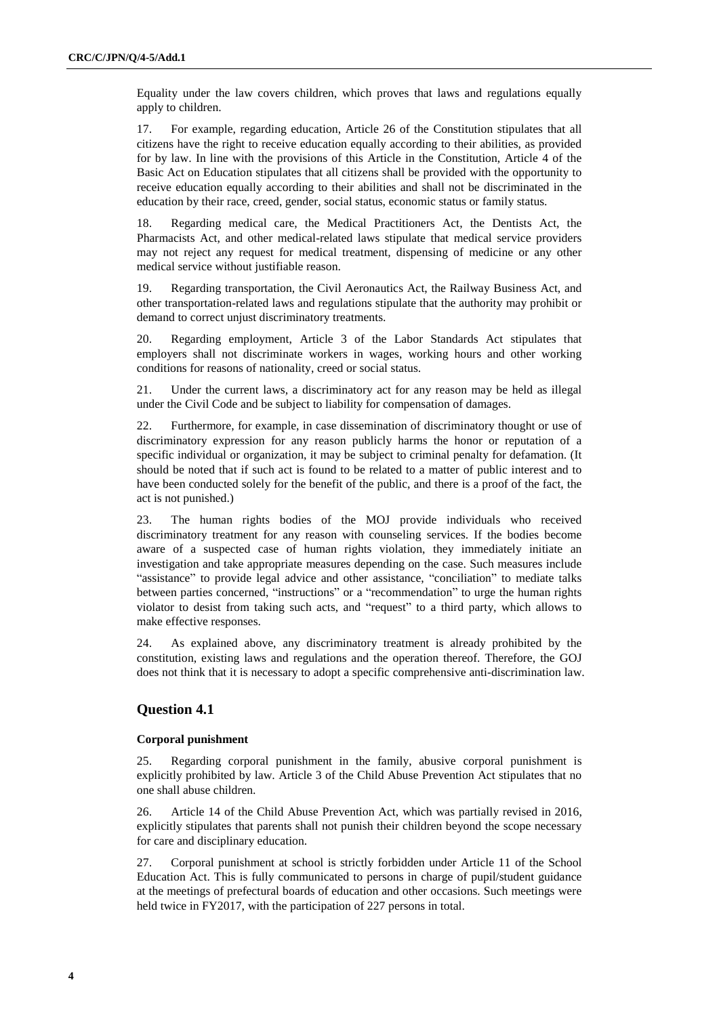Equality under the law covers children, which proves that laws and regulations equally apply to children.

17. For example, regarding education, Article 26 of the Constitution stipulates that all citizens have the right to receive education equally according to their abilities, as provided for by law. In line with the provisions of this Article in the Constitution, Article 4 of the Basic Act on Education stipulates that all citizens shall be provided with the opportunity to receive education equally according to their abilities and shall not be discriminated in the education by their race, creed, gender, social status, economic status or family status.

18. Regarding medical care, the Medical Practitioners Act, the Dentists Act, the Pharmacists Act, and other medical-related laws stipulate that medical service providers may not reject any request for medical treatment, dispensing of medicine or any other medical service without justifiable reason.

19. Regarding transportation, the Civil Aeronautics Act, the Railway Business Act, and other transportation-related laws and regulations stipulate that the authority may prohibit or demand to correct unjust discriminatory treatments.

20. Regarding employment, Article 3 of the Labor Standards Act stipulates that employers shall not discriminate workers in wages, working hours and other working conditions for reasons of nationality, creed or social status.

21. Under the current laws, a discriminatory act for any reason may be held as illegal under the Civil Code and be subject to liability for compensation of damages.

22. Furthermore, for example, in case dissemination of discriminatory thought or use of discriminatory expression for any reason publicly harms the honor or reputation of a specific individual or organization, it may be subject to criminal penalty for defamation. (It should be noted that if such act is found to be related to a matter of public interest and to have been conducted solely for the benefit of the public, and there is a proof of the fact, the act is not punished.)

23. The human rights bodies of the MOJ provide individuals who received discriminatory treatment for any reason with counseling services. If the bodies become aware of a suspected case of human rights violation, they immediately initiate an investigation and take appropriate measures depending on the case. Such measures include "assistance" to provide legal advice and other assistance, "conciliation" to mediate talks between parties concerned, "instructions" or a "recommendation" to urge the human rights violator to desist from taking such acts, and "request" to a third party, which allows to make effective responses.

24. As explained above, any discriminatory treatment is already prohibited by the constitution, existing laws and regulations and the operation thereof. Therefore, the GOJ does not think that it is necessary to adopt a specific comprehensive anti-discrimination law.

# **Question 4.1**

#### **Corporal punishment**

25. Regarding corporal punishment in the family, abusive corporal punishment is explicitly prohibited by law. Article 3 of the Child Abuse Prevention Act stipulates that no one shall abuse children.

26. Article 14 of the Child Abuse Prevention Act, which was partially revised in 2016, explicitly stipulates that parents shall not punish their children beyond the scope necessary for care and disciplinary education.

27. Corporal punishment at school is strictly forbidden under Article 11 of the School Education Act. This is fully communicated to persons in charge of pupil/student guidance at the meetings of prefectural boards of education and other occasions. Such meetings were held twice in FY2017, with the participation of 227 persons in total.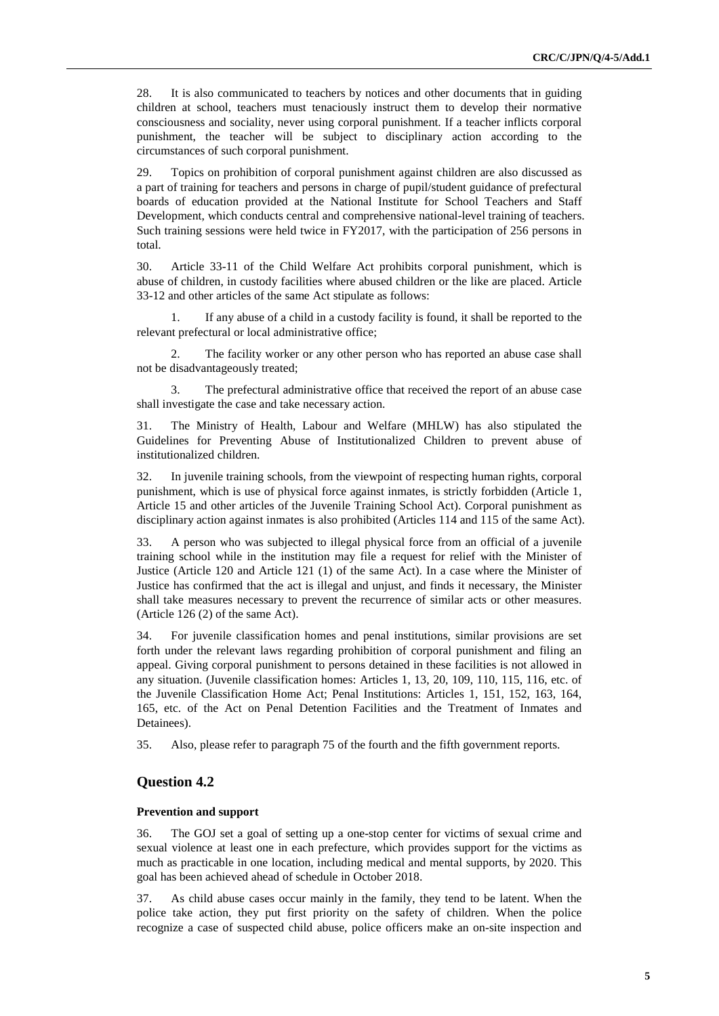28. It is also communicated to teachers by notices and other documents that in guiding children at school, teachers must tenaciously instruct them to develop their normative consciousness and sociality, never using corporal punishment. If a teacher inflicts corporal punishment, the teacher will be subject to disciplinary action according to the circumstances of such corporal punishment.

29. Topics on prohibition of corporal punishment against children are also discussed as a part of training for teachers and persons in charge of pupil/student guidance of prefectural boards of education provided at the National Institute for School Teachers and Staff Development, which conducts central and comprehensive national-level training of teachers. Such training sessions were held twice in FY2017, with the participation of 256 persons in total.

30. Article 33-11 of the Child Welfare Act prohibits corporal punishment, which is abuse of children, in custody facilities where abused children or the like are placed. Article 33-12 and other articles of the same Act stipulate as follows:

1. If any abuse of a child in a custody facility is found, it shall be reported to the relevant prefectural or local administrative office;

2. The facility worker or any other person who has reported an abuse case shall not be disadvantageously treated;

3. The prefectural administrative office that received the report of an abuse case shall investigate the case and take necessary action.

31. The Ministry of Health, Labour and Welfare (MHLW) has also stipulated the Guidelines for Preventing Abuse of Institutionalized Children to prevent abuse of institutionalized children.

32. In juvenile training schools, from the viewpoint of respecting human rights, corporal punishment, which is use of physical force against inmates, is strictly forbidden (Article 1, Article 15 and other articles of the Juvenile Training School Act). Corporal punishment as disciplinary action against inmates is also prohibited (Articles 114 and 115 of the same Act).

33. A person who was subjected to illegal physical force from an official of a juvenile training school while in the institution may file a request for relief with the Minister of Justice (Article 120 and Article 121 (1) of the same Act). In a case where the Minister of Justice has confirmed that the act is illegal and unjust, and finds it necessary, the Minister shall take measures necessary to prevent the recurrence of similar acts or other measures. (Article 126 (2) of the same Act).

34. For juvenile classification homes and penal institutions, similar provisions are set forth under the relevant laws regarding prohibition of corporal punishment and filing an appeal. Giving corporal punishment to persons detained in these facilities is not allowed in any situation. (Juvenile classification homes: Articles 1, 13, 20, 109, 110, 115, 116, etc. of the Juvenile Classification Home Act; Penal Institutions: Articles 1, 151, 152, 163, 164, 165, etc. of the Act on Penal Detention Facilities and the Treatment of Inmates and Detainees).

35. Also, please refer to paragraph 75 of the fourth and the fifth government reports.

### **Question 4.2**

#### **Prevention and support**

36. The GOJ set a goal of setting up a one-stop center for victims of sexual crime and sexual violence at least one in each prefecture, which provides support for the victims as much as practicable in one location, including medical and mental supports, by 2020. This goal has been achieved ahead of schedule in October 2018.

37. As child abuse cases occur mainly in the family, they tend to be latent. When the police take action, they put first priority on the safety of children. When the police recognize a case of suspected child abuse, police officers make an on-site inspection and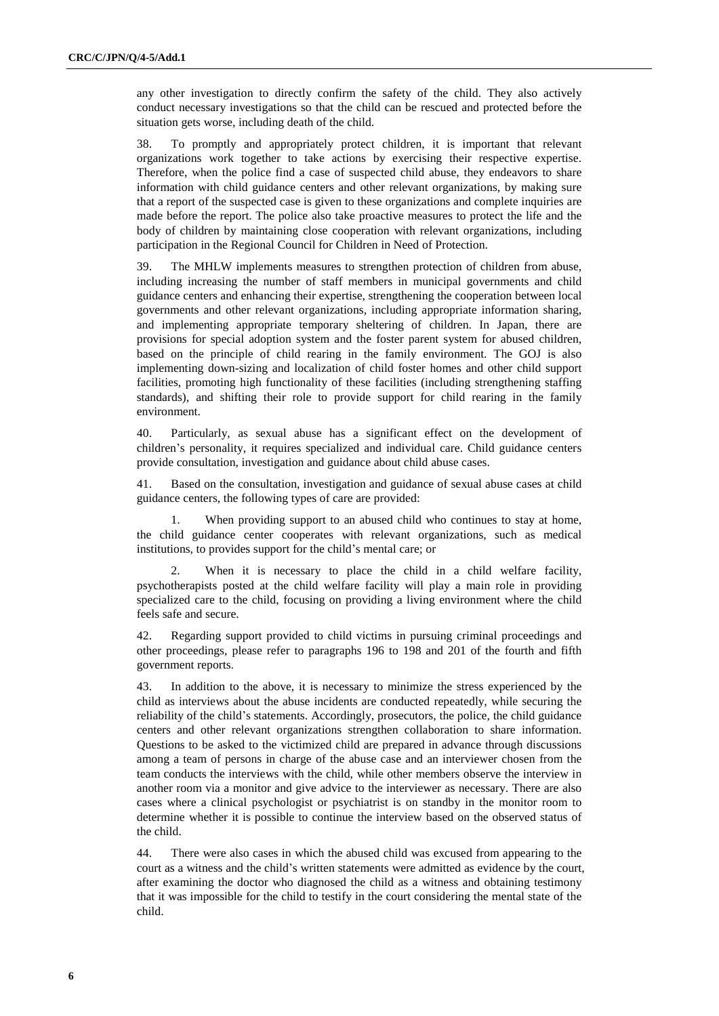any other investigation to directly confirm the safety of the child. They also actively conduct necessary investigations so that the child can be rescued and protected before the situation gets worse, including death of the child.

38. To promptly and appropriately protect children, it is important that relevant organizations work together to take actions by exercising their respective expertise. Therefore, when the police find a case of suspected child abuse, they endeavors to share information with child guidance centers and other relevant organizations, by making sure that a report of the suspected case is given to these organizations and complete inquiries are made before the report. The police also take proactive measures to protect the life and the body of children by maintaining close cooperation with relevant organizations, including participation in the Regional Council for Children in Need of Protection.

39. The MHLW implements measures to strengthen protection of children from abuse, including increasing the number of staff members in municipal governments and child guidance centers and enhancing their expertise, strengthening the cooperation between local governments and other relevant organizations, including appropriate information sharing, and implementing appropriate temporary sheltering of children. In Japan, there are provisions for special adoption system and the foster parent system for abused children, based on the principle of child rearing in the family environment. The GOJ is also implementing down-sizing and localization of child foster homes and other child support facilities, promoting high functionality of these facilities (including strengthening staffing standards), and shifting their role to provide support for child rearing in the family environment.

40. Particularly, as sexual abuse has a significant effect on the development of children's personality, it requires specialized and individual care. Child guidance centers provide consultation, investigation and guidance about child abuse cases.

41. Based on the consultation, investigation and guidance of sexual abuse cases at child guidance centers, the following types of care are provided:

1. When providing support to an abused child who continues to stay at home, the child guidance center cooperates with relevant organizations, such as medical institutions, to provides support for the child's mental care; or

2. When it is necessary to place the child in a child welfare facility, psychotherapists posted at the child welfare facility will play a main role in providing specialized care to the child, focusing on providing a living environment where the child feels safe and secure.

42. Regarding support provided to child victims in pursuing criminal proceedings and other proceedings, please refer to paragraphs 196 to 198 and 201 of the fourth and fifth government reports.

43. In addition to the above, it is necessary to minimize the stress experienced by the child as interviews about the abuse incidents are conducted repeatedly, while securing the reliability of the child's statements. Accordingly, prosecutors, the police, the child guidance centers and other relevant organizations strengthen collaboration to share information. Questions to be asked to the victimized child are prepared in advance through discussions among a team of persons in charge of the abuse case and an interviewer chosen from the team conducts the interviews with the child, while other members observe the interview in another room via a monitor and give advice to the interviewer as necessary. There are also cases where a clinical psychologist or psychiatrist is on standby in the monitor room to determine whether it is possible to continue the interview based on the observed status of the child.

44. There were also cases in which the abused child was excused from appearing to the court as a witness and the child's written statements were admitted as evidence by the court, after examining the doctor who diagnosed the child as a witness and obtaining testimony that it was impossible for the child to testify in the court considering the mental state of the child.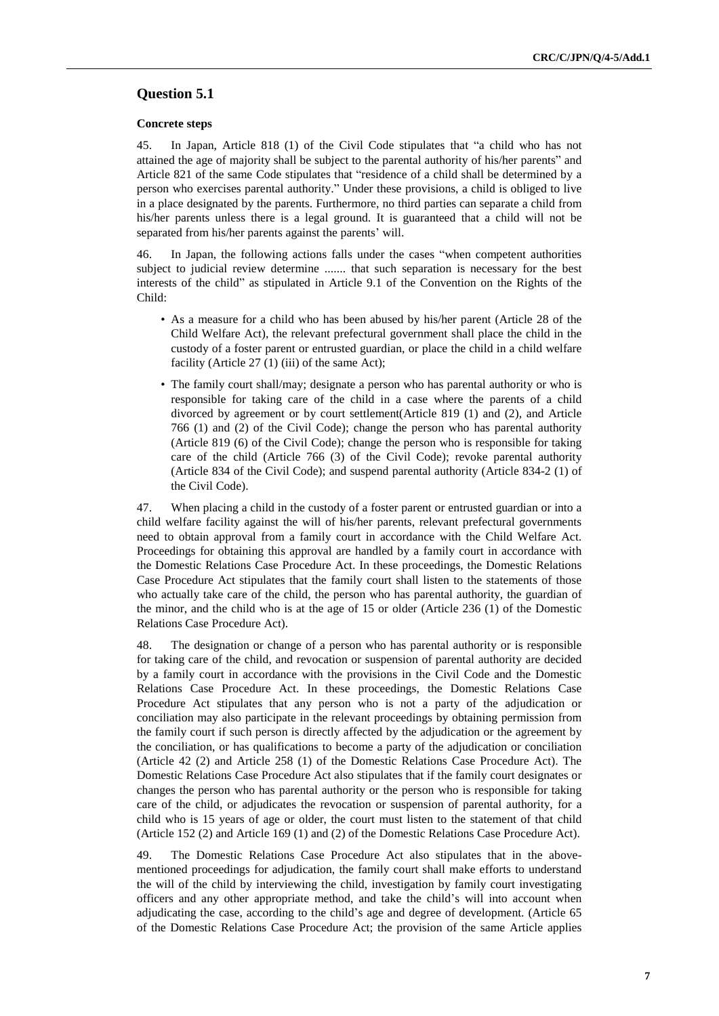# **Question 5.1**

#### **Concrete steps**

45. In Japan, Article 818 (1) of the Civil Code stipulates that "a child who has not attained the age of majority shall be subject to the parental authority of his/her parents" and Article 821 of the same Code stipulates that "residence of a child shall be determined by a person who exercises parental authority." Under these provisions, a child is obliged to live in a place designated by the parents. Furthermore, no third parties can separate a child from his/her parents unless there is a legal ground. It is guaranteed that a child will not be separated from his/her parents against the parents' will.

46. In Japan, the following actions falls under the cases "when competent authorities subject to judicial review determine ....... that such separation is necessary for the best interests of the child" as stipulated in Article 9.1 of the Convention on the Rights of the Child:

- As a measure for a child who has been abused by his/her parent (Article 28 of the Child Welfare Act), the relevant prefectural government shall place the child in the custody of a foster parent or entrusted guardian, or place the child in a child welfare facility (Article 27 (1) (iii) of the same Act);
- The family court shall/may; designate a person who has parental authority or who is responsible for taking care of the child in a case where the parents of a child divorced by agreement or by court settlement(Article 819 (1) and (2), and Article 766 (1) and (2) of the Civil Code); change the person who has parental authority (Article 819 (6) of the Civil Code); change the person who is responsible for taking care of the child (Article 766 (3) of the Civil Code); revoke parental authority (Article 834 of the Civil Code); and suspend parental authority (Article 834-2 (1) of the Civil Code).

47. When placing a child in the custody of a foster parent or entrusted guardian or into a child welfare facility against the will of his/her parents, relevant prefectural governments need to obtain approval from a family court in accordance with the Child Welfare Act. Proceedings for obtaining this approval are handled by a family court in accordance with the Domestic Relations Case Procedure Act. In these proceedings, the Domestic Relations Case Procedure Act stipulates that the family court shall listen to the statements of those who actually take care of the child, the person who has parental authority, the guardian of the minor, and the child who is at the age of 15 or older (Article 236 (1) of the Domestic Relations Case Procedure Act).

48. The designation or change of a person who has parental authority or is responsible for taking care of the child, and revocation or suspension of parental authority are decided by a family court in accordance with the provisions in the Civil Code and the Domestic Relations Case Procedure Act. In these proceedings, the Domestic Relations Case Procedure Act stipulates that any person who is not a party of the adjudication or conciliation may also participate in the relevant proceedings by obtaining permission from the family court if such person is directly affected by the adjudication or the agreement by the conciliation, or has qualifications to become a party of the adjudication or conciliation (Article 42 (2) and Article 258 (1) of the Domestic Relations Case Procedure Act). The Domestic Relations Case Procedure Act also stipulates that if the family court designates or changes the person who has parental authority or the person who is responsible for taking care of the child, or adjudicates the revocation or suspension of parental authority, for a child who is 15 years of age or older, the court must listen to the statement of that child (Article 152 (2) and Article 169 (1) and (2) of the Domestic Relations Case Procedure Act).

49. The Domestic Relations Case Procedure Act also stipulates that in the abovementioned proceedings for adjudication, the family court shall make efforts to understand the will of the child by interviewing the child, investigation by family court investigating officers and any other appropriate method, and take the child's will into account when adjudicating the case, according to the child's age and degree of development. (Article 65 of the Domestic Relations Case Procedure Act; the provision of the same Article applies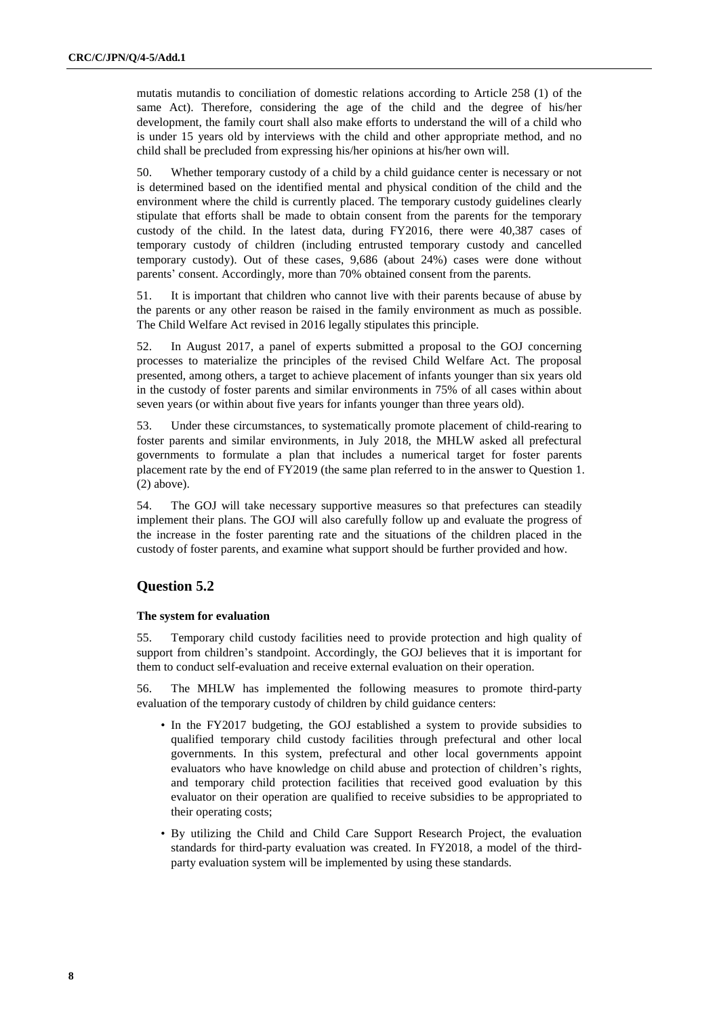mutatis mutandis to conciliation of domestic relations according to Article 258 (1) of the same Act). Therefore, considering the age of the child and the degree of his/her development, the family court shall also make efforts to understand the will of a child who is under 15 years old by interviews with the child and other appropriate method, and no child shall be precluded from expressing his/her opinions at his/her own will.

50. Whether temporary custody of a child by a child guidance center is necessary or not is determined based on the identified mental and physical condition of the child and the environment where the child is currently placed. The temporary custody guidelines clearly stipulate that efforts shall be made to obtain consent from the parents for the temporary custody of the child. In the latest data, during FY2016, there were 40,387 cases of temporary custody of children (including entrusted temporary custody and cancelled temporary custody). Out of these cases, 9,686 (about 24%) cases were done without parents' consent. Accordingly, more than 70% obtained consent from the parents.

51. It is important that children who cannot live with their parents because of abuse by the parents or any other reason be raised in the family environment as much as possible. The Child Welfare Act revised in 2016 legally stipulates this principle.

52. In August 2017, a panel of experts submitted a proposal to the GOJ concerning processes to materialize the principles of the revised Child Welfare Act. The proposal presented, among others, a target to achieve placement of infants younger than six years old in the custody of foster parents and similar environments in 75% of all cases within about seven years (or within about five years for infants younger than three years old).

53. Under these circumstances, to systematically promote placement of child-rearing to foster parents and similar environments, in July 2018, the MHLW asked all prefectural governments to formulate a plan that includes a numerical target for foster parents placement rate by the end of FY2019 (the same plan referred to in the answer to Question 1. (2) above).

54. The GOJ will take necessary supportive measures so that prefectures can steadily implement their plans. The GOJ will also carefully follow up and evaluate the progress of the increase in the foster parenting rate and the situations of the children placed in the custody of foster parents, and examine what support should be further provided and how.

# **Question 5.2**

### **The system for evaluation**

55. Temporary child custody facilities need to provide protection and high quality of support from children's standpoint. Accordingly, the GOJ believes that it is important for them to conduct self-evaluation and receive external evaluation on their operation.

56. The MHLW has implemented the following measures to promote third-party evaluation of the temporary custody of children by child guidance centers:

- In the FY2017 budgeting, the GOJ established a system to provide subsidies to qualified temporary child custody facilities through prefectural and other local governments. In this system, prefectural and other local governments appoint evaluators who have knowledge on child abuse and protection of children's rights, and temporary child protection facilities that received good evaluation by this evaluator on their operation are qualified to receive subsidies to be appropriated to their operating costs;
- By utilizing the Child and Child Care Support Research Project, the evaluation standards for third-party evaluation was created. In FY2018, a model of the thirdparty evaluation system will be implemented by using these standards.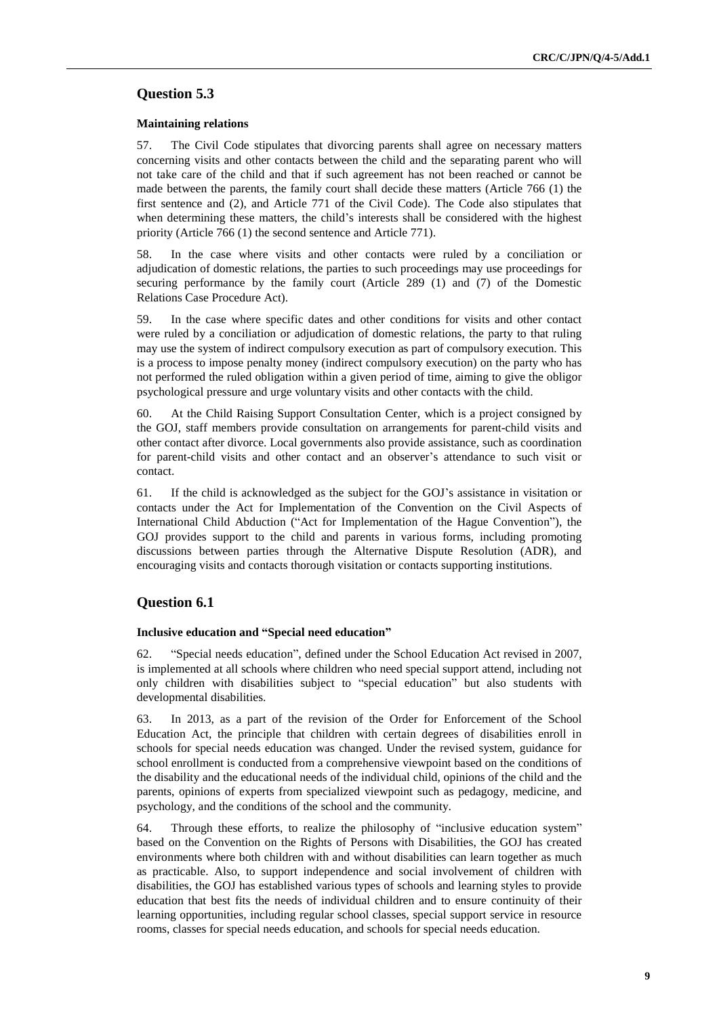# **Question 5.3**

### **Maintaining relations**

57. The Civil Code stipulates that divorcing parents shall agree on necessary matters concerning visits and other contacts between the child and the separating parent who will not take care of the child and that if such agreement has not been reached or cannot be made between the parents, the family court shall decide these matters (Article 766 (1) the first sentence and (2), and Article 771 of the Civil Code). The Code also stipulates that when determining these matters, the child's interests shall be considered with the highest priority (Article 766 (1) the second sentence and Article 771).

58. In the case where visits and other contacts were ruled by a conciliation or adjudication of domestic relations, the parties to such proceedings may use proceedings for securing performance by the family court (Article 289 (1) and (7) of the Domestic Relations Case Procedure Act).

59. In the case where specific dates and other conditions for visits and other contact were ruled by a conciliation or adjudication of domestic relations, the party to that ruling may use the system of indirect compulsory execution as part of compulsory execution. This is a process to impose penalty money (indirect compulsory execution) on the party who has not performed the ruled obligation within a given period of time, aiming to give the obligor psychological pressure and urge voluntary visits and other contacts with the child.

60. At the Child Raising Support Consultation Center, which is a project consigned by the GOJ, staff members provide consultation on arrangements for parent-child visits and other contact after divorce. Local governments also provide assistance, such as coordination for parent-child visits and other contact and an observer's attendance to such visit or contact.

61. If the child is acknowledged as the subject for the GOJ's assistance in visitation or contacts under the Act for Implementation of the Convention on the Civil Aspects of International Child Abduction ("Act for Implementation of the Hague Convention"), the GOJ provides support to the child and parents in various forms, including promoting discussions between parties through the Alternative Dispute Resolution (ADR), and encouraging visits and contacts thorough visitation or contacts supporting institutions.

# **Question 6.1**

#### **Inclusive education and "Special need education"**

62. "Special needs education", defined under the School Education Act revised in 2007, is implemented at all schools where children who need special support attend, including not only children with disabilities subject to "special education" but also students with developmental disabilities.

63. In 2013, as a part of the revision of the Order for Enforcement of the School Education Act, the principle that children with certain degrees of disabilities enroll in schools for special needs education was changed. Under the revised system, guidance for school enrollment is conducted from a comprehensive viewpoint based on the conditions of the disability and the educational needs of the individual child, opinions of the child and the parents, opinions of experts from specialized viewpoint such as pedagogy, medicine, and psychology, and the conditions of the school and the community.

64. Through these efforts, to realize the philosophy of "inclusive education system" based on the Convention on the Rights of Persons with Disabilities, the GOJ has created environments where both children with and without disabilities can learn together as much as practicable. Also, to support independence and social involvement of children with disabilities, the GOJ has established various types of schools and learning styles to provide education that best fits the needs of individual children and to ensure continuity of their learning opportunities, including regular school classes, special support service in resource rooms, classes for special needs education, and schools for special needs education.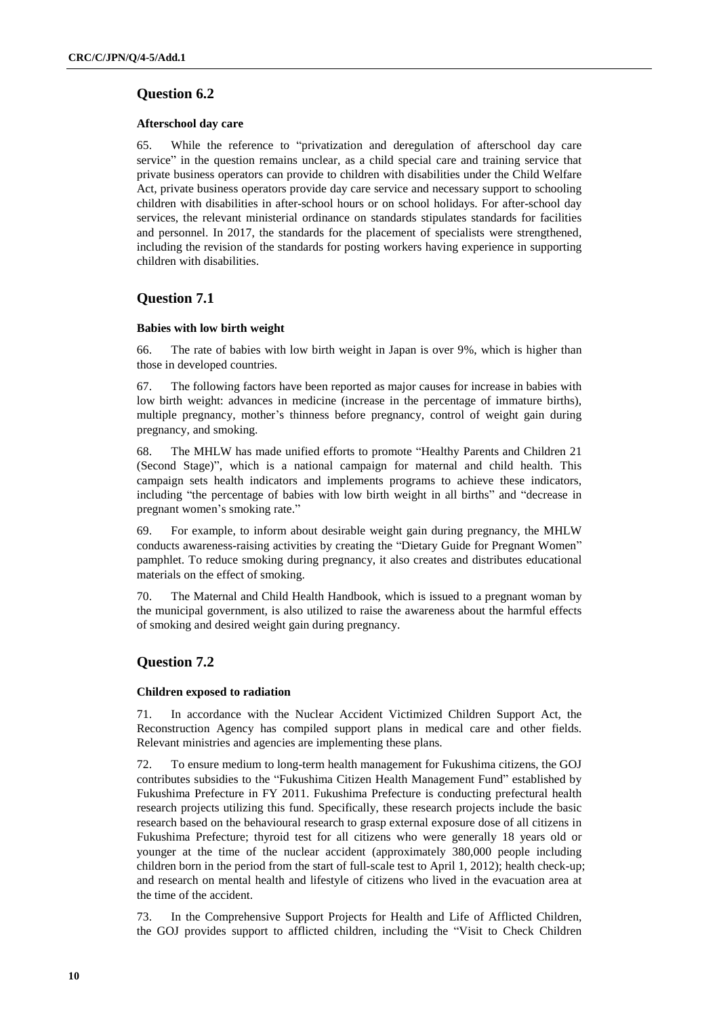# **Question 6.2**

### **Afterschool day care**

65. While the reference to "privatization and deregulation of afterschool day care service" in the question remains unclear, as a child special care and training service that private business operators can provide to children with disabilities under the Child Welfare Act, private business operators provide day care service and necessary support to schooling children with disabilities in after-school hours or on school holidays. For after-school day services, the relevant ministerial ordinance on standards stipulates standards for facilities and personnel. In 2017, the standards for the placement of specialists were strengthened, including the revision of the standards for posting workers having experience in supporting children with disabilities.

# **Question 7.1**

### **Babies with low birth weight**

66. The rate of babies with low birth weight in Japan is over 9%, which is higher than those in developed countries.

67. The following factors have been reported as major causes for increase in babies with low birth weight: advances in medicine (increase in the percentage of immature births), multiple pregnancy, mother's thinness before pregnancy, control of weight gain during pregnancy, and smoking.

68. The MHLW has made unified efforts to promote "Healthy Parents and Children 21 (Second Stage)", which is a national campaign for maternal and child health. This campaign sets health indicators and implements programs to achieve these indicators, including "the percentage of babies with low birth weight in all births" and "decrease in pregnant women's smoking rate."

69. For example, to inform about desirable weight gain during pregnancy, the MHLW conducts awareness-raising activities by creating the "Dietary Guide for Pregnant Women" pamphlet. To reduce smoking during pregnancy, it also creates and distributes educational materials on the effect of smoking.

70. The Maternal and Child Health Handbook, which is issued to a pregnant woman by the municipal government, is also utilized to raise the awareness about the harmful effects of smoking and desired weight gain during pregnancy.

# **Question 7.2**

#### **Children exposed to radiation**

71. In accordance with the Nuclear Accident Victimized Children Support Act, the Reconstruction Agency has compiled support plans in medical care and other fields. Relevant ministries and agencies are implementing these plans.

72. To ensure medium to long-term health management for Fukushima citizens, the GOJ contributes subsidies to the "Fukushima Citizen Health Management Fund" established by Fukushima Prefecture in FY 2011. Fukushima Prefecture is conducting prefectural health research projects utilizing this fund. Specifically, these research projects include the basic research based on the behavioural research to grasp external exposure dose of all citizens in Fukushima Prefecture; thyroid test for all citizens who were generally 18 years old or younger at the time of the nuclear accident (approximately 380,000 people including children born in the period from the start of full-scale test to April 1, 2012); health check-up; and research on mental health and lifestyle of citizens who lived in the evacuation area at the time of the accident.

73. In the Comprehensive Support Projects for Health and Life of Afflicted Children, the GOJ provides support to afflicted children, including the "Visit to Check Children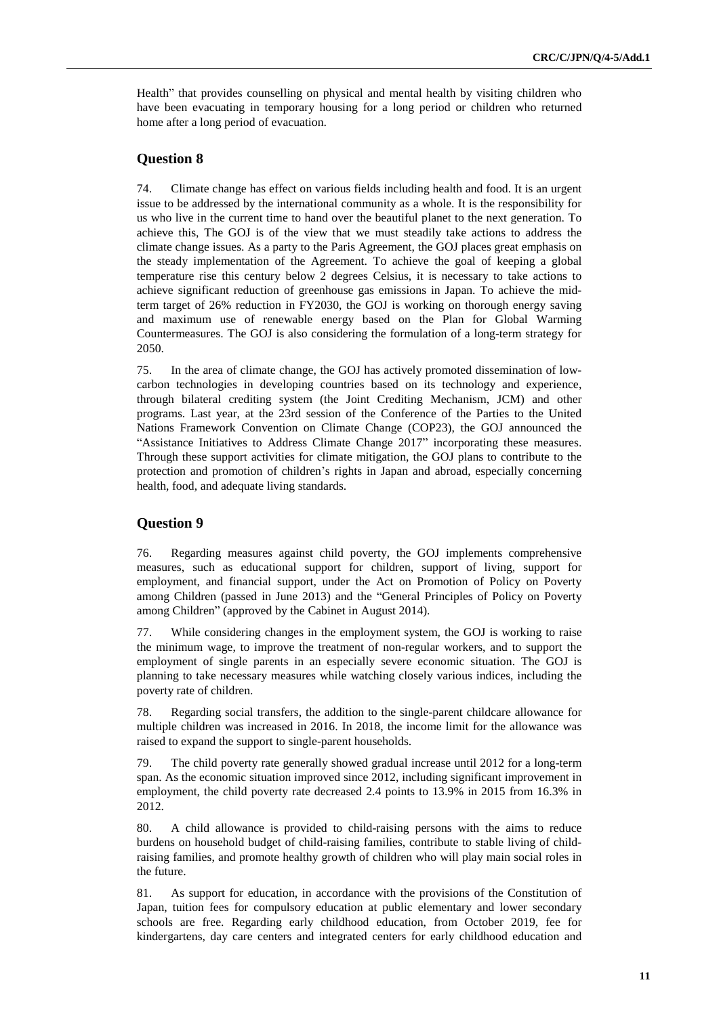Health" that provides counselling on physical and mental health by visiting children who have been evacuating in temporary housing for a long period or children who returned home after a long period of evacuation.

# **Question 8**

74. Climate change has effect on various fields including health and food. It is an urgent issue to be addressed by the international community as a whole. It is the responsibility for us who live in the current time to hand over the beautiful planet to the next generation. To achieve this, The GOJ is of the view that we must steadily take actions to address the climate change issues. As a party to the Paris Agreement, the GOJ places great emphasis on the steady implementation of the Agreement. To achieve the goal of keeping a global temperature rise this century below 2 degrees Celsius, it is necessary to take actions to achieve significant reduction of greenhouse gas emissions in Japan. To achieve the midterm target of 26% reduction in FY2030, the GOJ is working on thorough energy saving and maximum use of renewable energy based on the Plan for Global Warming Countermeasures. The GOJ is also considering the formulation of a long-term strategy for 2050.

75. In the area of climate change, the GOJ has actively promoted dissemination of lowcarbon technologies in developing countries based on its technology and experience, through bilateral crediting system (the Joint Crediting Mechanism, JCM) and other programs. Last year, at the 23rd session of the Conference of the Parties to the United Nations Framework Convention on Climate Change (COP23), the GOJ announced the "Assistance Initiatives to Address Climate Change 2017" incorporating these measures. Through these support activities for climate mitigation, the GOJ plans to contribute to the protection and promotion of children's rights in Japan and abroad, especially concerning health, food, and adequate living standards.

# **Question 9**

76. Regarding measures against child poverty, the GOJ implements comprehensive measures, such as educational support for children, support of living, support for employment, and financial support, under the Act on Promotion of Policy on Poverty among Children (passed in June 2013) and the "General Principles of Policy on Poverty among Children" (approved by the Cabinet in August 2014).

77. While considering changes in the employment system, the GOJ is working to raise the minimum wage, to improve the treatment of non-regular workers, and to support the employment of single parents in an especially severe economic situation. The GOJ is planning to take necessary measures while watching closely various indices, including the poverty rate of children.

78. Regarding social transfers, the addition to the single-parent childcare allowance for multiple children was increased in 2016. In 2018, the income limit for the allowance was raised to expand the support to single-parent households.

79. The child poverty rate generally showed gradual increase until 2012 for a long-term span. As the economic situation improved since 2012, including significant improvement in employment, the child poverty rate decreased 2.4 points to 13.9% in 2015 from 16.3% in 2012.

80. A child allowance is provided to child-raising persons with the aims to reduce burdens on household budget of child-raising families, contribute to stable living of childraising families, and promote healthy growth of children who will play main social roles in the future.

81. As support for education, in accordance with the provisions of the Constitution of Japan, tuition fees for compulsory education at public elementary and lower secondary schools are free. Regarding early childhood education, from October 2019, fee for kindergartens, day care centers and integrated centers for early childhood education and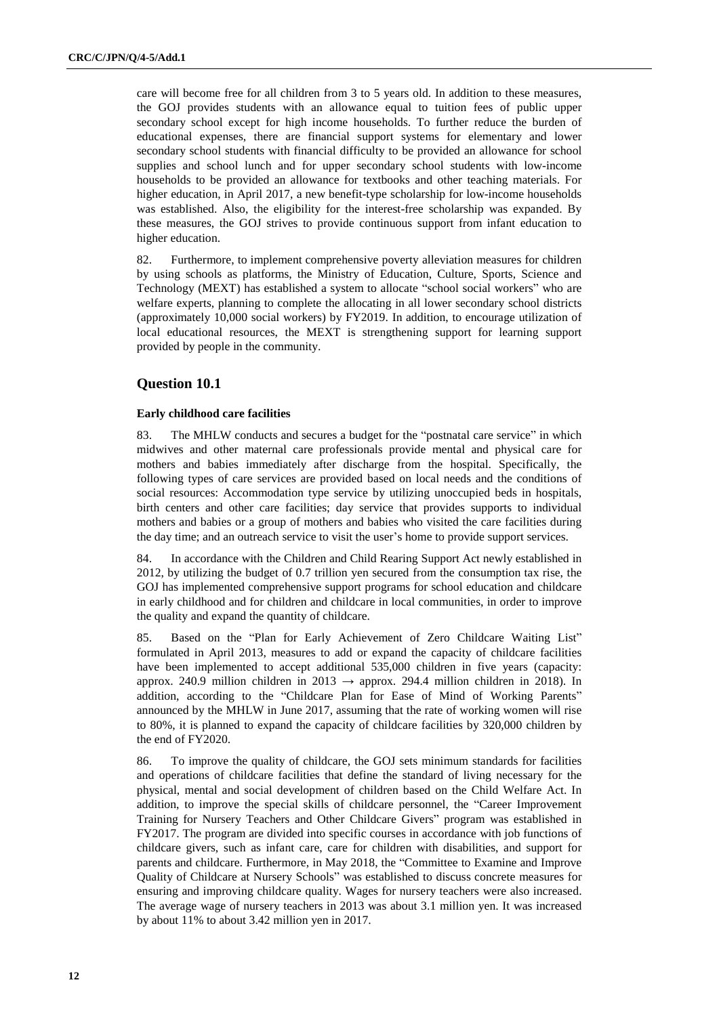care will become free for all children from 3 to 5 years old. In addition to these measures, the GOJ provides students with an allowance equal to tuition fees of public upper secondary school except for high income households. To further reduce the burden of educational expenses, there are financial support systems for elementary and lower secondary school students with financial difficulty to be provided an allowance for school supplies and school lunch and for upper secondary school students with low-income households to be provided an allowance for textbooks and other teaching materials. For higher education, in April 2017, a new benefit-type scholarship for low-income households was established. Also, the eligibility for the interest-free scholarship was expanded. By these measures, the GOJ strives to provide continuous support from infant education to higher education.

82. Furthermore, to implement comprehensive poverty alleviation measures for children by using schools as platforms, the Ministry of Education, Culture, Sports, Science and Technology (MEXT) has established a system to allocate "school social workers" who are welfare experts, planning to complete the allocating in all lower secondary school districts (approximately 10,000 social workers) by FY2019. In addition, to encourage utilization of local educational resources, the MEXT is strengthening support for learning support provided by people in the community.

# **Question 10.1**

#### **Early childhood care facilities**

83. The MHLW conducts and secures a budget for the "postnatal care service" in which midwives and other maternal care professionals provide mental and physical care for mothers and babies immediately after discharge from the hospital. Specifically, the following types of care services are provided based on local needs and the conditions of social resources: Accommodation type service by utilizing unoccupied beds in hospitals, birth centers and other care facilities; day service that provides supports to individual mothers and babies or a group of mothers and babies who visited the care facilities during the day time; and an outreach service to visit the user's home to provide support services.

84. In accordance with the Children and Child Rearing Support Act newly established in 2012, by utilizing the budget of 0.7 trillion yen secured from the consumption tax rise, the GOJ has implemented comprehensive support programs for school education and childcare in early childhood and for children and childcare in local communities, in order to improve the quality and expand the quantity of childcare.

85. Based on the "Plan for Early Achievement of Zero Childcare Waiting List" formulated in April 2013, measures to add or expand the capacity of childcare facilities have been implemented to accept additional 535,000 children in five years (capacity: approx. 240.9 million children in 2013  $\rightarrow$  approx. 294.4 million children in 2018). In addition, according to the "Childcare Plan for Ease of Mind of Working Parents" announced by the MHLW in June 2017, assuming that the rate of working women will rise to 80%, it is planned to expand the capacity of childcare facilities by 320,000 children by the end of FY2020.

86. To improve the quality of childcare, the GOJ sets minimum standards for facilities and operations of childcare facilities that define the standard of living necessary for the physical, mental and social development of children based on the Child Welfare Act. In addition, to improve the special skills of childcare personnel, the "Career Improvement Training for Nursery Teachers and Other Childcare Givers" program was established in FY2017. The program are divided into specific courses in accordance with job functions of childcare givers, such as infant care, care for children with disabilities, and support for parents and childcare. Furthermore, in May 2018, the "Committee to Examine and Improve Quality of Childcare at Nursery Schools" was established to discuss concrete measures for ensuring and improving childcare quality. Wages for nursery teachers were also increased. The average wage of nursery teachers in 2013 was about 3.1 million yen. It was increased by about 11% to about 3.42 million yen in 2017.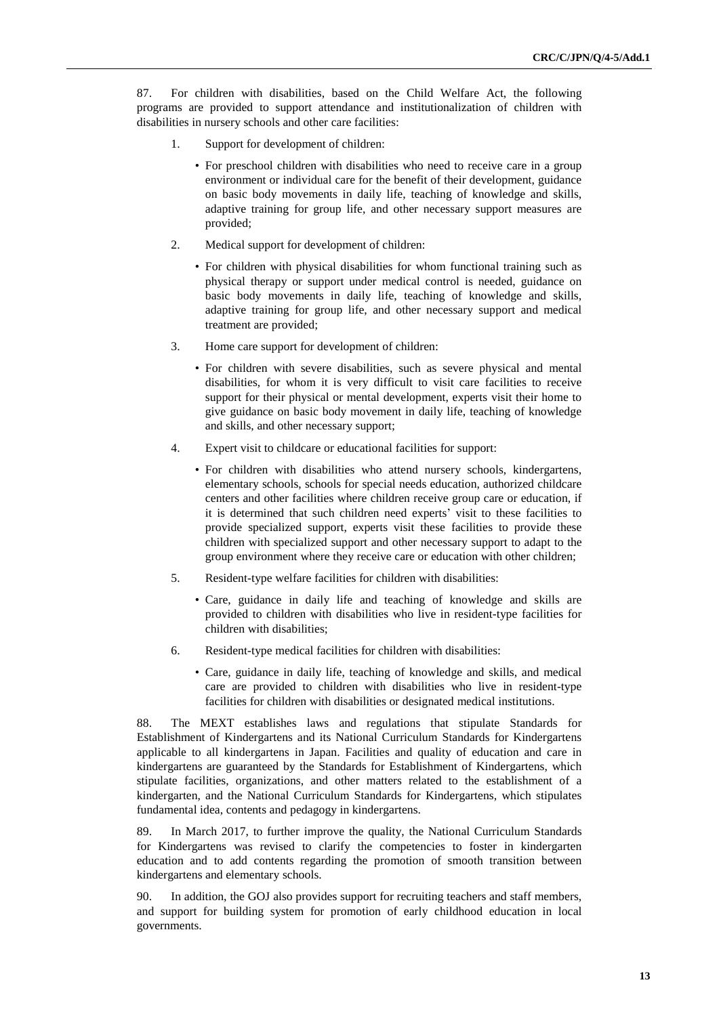87. For children with disabilities, based on the Child Welfare Act, the following programs are provided to support attendance and institutionalization of children with disabilities in nursery schools and other care facilities:

- 1. Support for development of children:
	- For preschool children with disabilities who need to receive care in a group environment or individual care for the benefit of their development, guidance on basic body movements in daily life, teaching of knowledge and skills, adaptive training for group life, and other necessary support measures are provided;
- 2. Medical support for development of children:
	- For children with physical disabilities for whom functional training such as physical therapy or support under medical control is needed, guidance on basic body movements in daily life, teaching of knowledge and skills, adaptive training for group life, and other necessary support and medical treatment are provided;
- 3. Home care support for development of children:
	- For children with severe disabilities, such as severe physical and mental disabilities, for whom it is very difficult to visit care facilities to receive support for their physical or mental development, experts visit their home to give guidance on basic body movement in daily life, teaching of knowledge and skills, and other necessary support;
- 4. Expert visit to childcare or educational facilities for support:
	- For children with disabilities who attend nursery schools, kindergartens, elementary schools, schools for special needs education, authorized childcare centers and other facilities where children receive group care or education, if it is determined that such children need experts' visit to these facilities to provide specialized support, experts visit these facilities to provide these children with specialized support and other necessary support to adapt to the group environment where they receive care or education with other children;
- 5. Resident-type welfare facilities for children with disabilities:
	- Care, guidance in daily life and teaching of knowledge and skills are provided to children with disabilities who live in resident-type facilities for children with disabilities;
- 6. Resident-type medical facilities for children with disabilities:
	- Care, guidance in daily life, teaching of knowledge and skills, and medical care are provided to children with disabilities who live in resident-type facilities for children with disabilities or designated medical institutions.

88. The MEXT establishes laws and regulations that stipulate Standards for Establishment of Kindergartens and its National Curriculum Standards for Kindergartens applicable to all kindergartens in Japan. Facilities and quality of education and care in kindergartens are guaranteed by the Standards for Establishment of Kindergartens, which stipulate facilities, organizations, and other matters related to the establishment of a kindergarten, and the National Curriculum Standards for Kindergartens, which stipulates fundamental idea, contents and pedagogy in kindergartens.

89. In March 2017, to further improve the quality, the National Curriculum Standards for Kindergartens was revised to clarify the competencies to foster in kindergarten education and to add contents regarding the promotion of smooth transition between kindergartens and elementary schools.

90. In addition, the GOJ also provides support for recruiting teachers and staff members, and support for building system for promotion of early childhood education in local governments.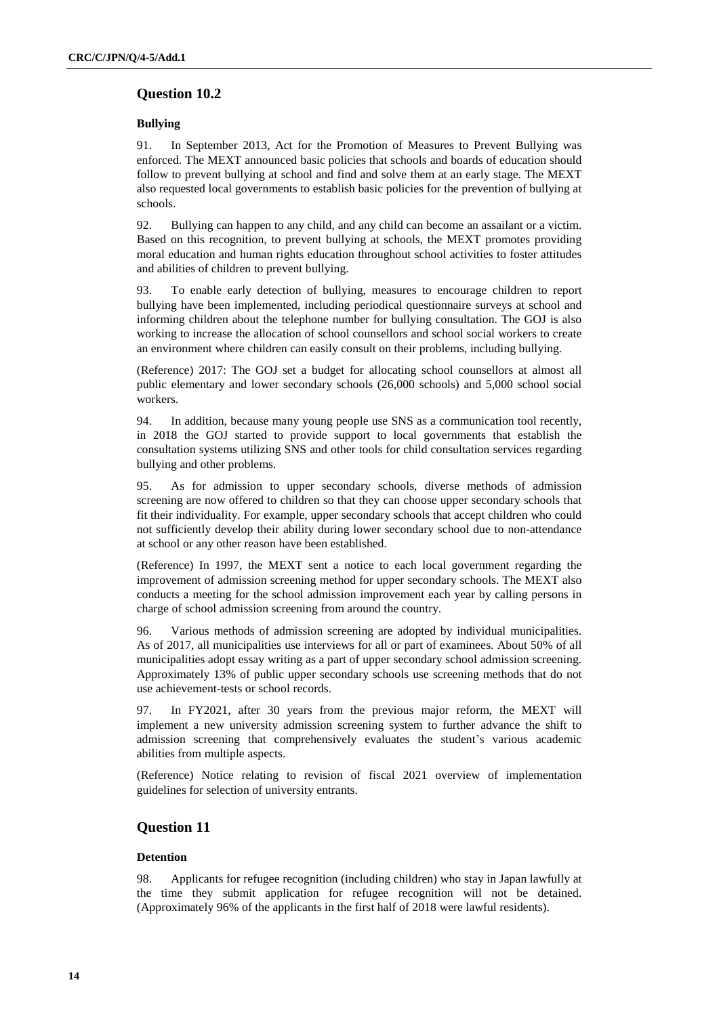# **Question 10.2**

### **Bullying**

91. In September 2013, Act for the Promotion of Measures to Prevent Bullying was enforced. The MEXT announced basic policies that schools and boards of education should follow to prevent bullying at school and find and solve them at an early stage. The MEXT also requested local governments to establish basic policies for the prevention of bullying at schools.

92. Bullying can happen to any child, and any child can become an assailant or a victim. Based on this recognition, to prevent bullying at schools, the MEXT promotes providing moral education and human rights education throughout school activities to foster attitudes and abilities of children to prevent bullying.

93. To enable early detection of bullying, measures to encourage children to report bullying have been implemented, including periodical questionnaire surveys at school and informing children about the telephone number for bullying consultation. The GOJ is also working to increase the allocation of school counsellors and school social workers to create an environment where children can easily consult on their problems, including bullying.

(Reference) 2017: The GOJ set a budget for allocating school counsellors at almost all public elementary and lower secondary schools (26,000 schools) and 5,000 school social workers.

94. In addition, because many young people use SNS as a communication tool recently, in 2018 the GOJ started to provide support to local governments that establish the consultation systems utilizing SNS and other tools for child consultation services regarding bullying and other problems.

95. As for admission to upper secondary schools, diverse methods of admission screening are now offered to children so that they can choose upper secondary schools that fit their individuality. For example, upper secondary schools that accept children who could not sufficiently develop their ability during lower secondary school due to non-attendance at school or any other reason have been established.

(Reference) In 1997, the MEXT sent a notice to each local government regarding the improvement of admission screening method for upper secondary schools. The MEXT also conducts a meeting for the school admission improvement each year by calling persons in charge of school admission screening from around the country.

96. Various methods of admission screening are adopted by individual municipalities. As of 2017, all municipalities use interviews for all or part of examinees. About 50% of all municipalities adopt essay writing as a part of upper secondary school admission screening. Approximately 13% of public upper secondary schools use screening methods that do not use achievement-tests or school records.

97. In FY2021, after 30 years from the previous major reform, the MEXT will implement a new university admission screening system to further advance the shift to admission screening that comprehensively evaluates the student's various academic abilities from multiple aspects.

(Reference) Notice relating to revision of fiscal 2021 overview of implementation guidelines for selection of university entrants.

# **Question 11**

### **Detention**

98. Applicants for refugee recognition (including children) who stay in Japan lawfully at the time they submit application for refugee recognition will not be detained. (Approximately 96% of the applicants in the first half of 2018 were lawful residents).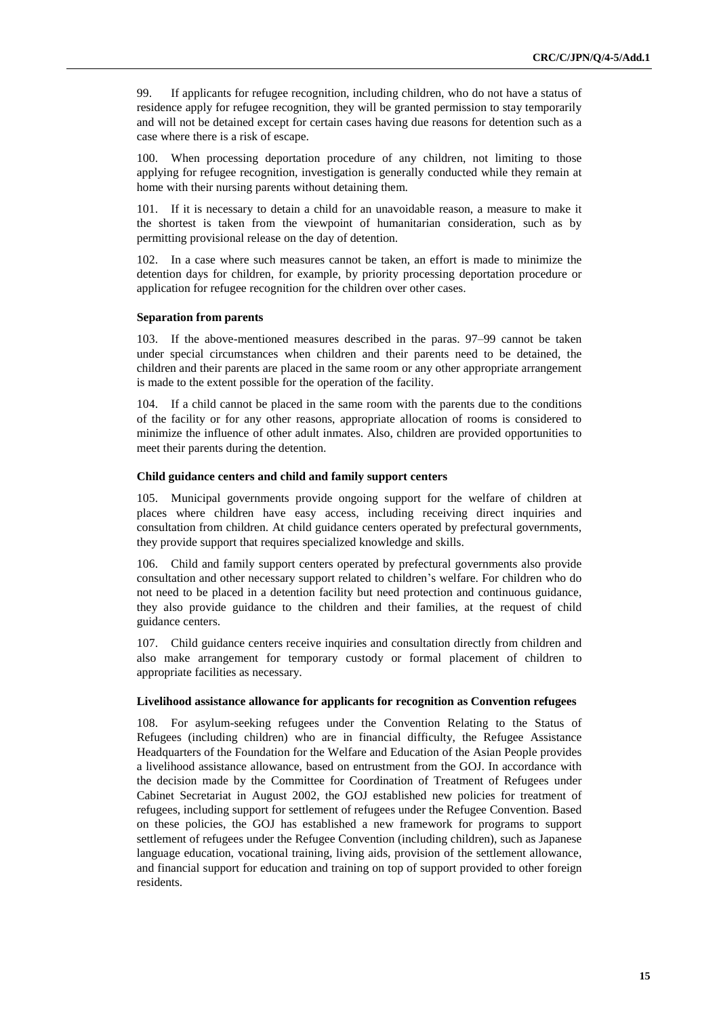99. If applicants for refugee recognition, including children, who do not have a status of residence apply for refugee recognition, they will be granted permission to stay temporarily and will not be detained except for certain cases having due reasons for detention such as a case where there is a risk of escape.

100. When processing deportation procedure of any children, not limiting to those applying for refugee recognition, investigation is generally conducted while they remain at home with their nursing parents without detaining them.

101. If it is necessary to detain a child for an unavoidable reason, a measure to make it the shortest is taken from the viewpoint of humanitarian consideration, such as by permitting provisional release on the day of detention.

102. In a case where such measures cannot be taken, an effort is made to minimize the detention days for children, for example, by priority processing deportation procedure or application for refugee recognition for the children over other cases.

#### **Separation from parents**

103. If the above-mentioned measures described in the paras. 97–99 cannot be taken under special circumstances when children and their parents need to be detained, the children and their parents are placed in the same room or any other appropriate arrangement is made to the extent possible for the operation of the facility.

104. If a child cannot be placed in the same room with the parents due to the conditions of the facility or for any other reasons, appropriate allocation of rooms is considered to minimize the influence of other adult inmates. Also, children are provided opportunities to meet their parents during the detention.

#### **Child guidance centers and child and family support centers**

105. Municipal governments provide ongoing support for the welfare of children at places where children have easy access, including receiving direct inquiries and consultation from children. At child guidance centers operated by prefectural governments, they provide support that requires specialized knowledge and skills.

106. Child and family support centers operated by prefectural governments also provide consultation and other necessary support related to children's welfare. For children who do not need to be placed in a detention facility but need protection and continuous guidance, they also provide guidance to the children and their families, at the request of child guidance centers.

107. Child guidance centers receive inquiries and consultation directly from children and also make arrangement for temporary custody or formal placement of children to appropriate facilities as necessary.

#### **Livelihood assistance allowance for applicants for recognition as Convention refugees**

108. For asylum-seeking refugees under the Convention Relating to the Status of Refugees (including children) who are in financial difficulty, the Refugee Assistance Headquarters of the Foundation for the Welfare and Education of the Asian People provides a livelihood assistance allowance, based on entrustment from the GOJ. In accordance with the decision made by the Committee for Coordination of Treatment of Refugees under Cabinet Secretariat in August 2002, the GOJ established new policies for treatment of refugees, including support for settlement of refugees under the Refugee Convention. Based on these policies, the GOJ has established a new framework for programs to support settlement of refugees under the Refugee Convention (including children), such as Japanese language education, vocational training, living aids, provision of the settlement allowance, and financial support for education and training on top of support provided to other foreign residents.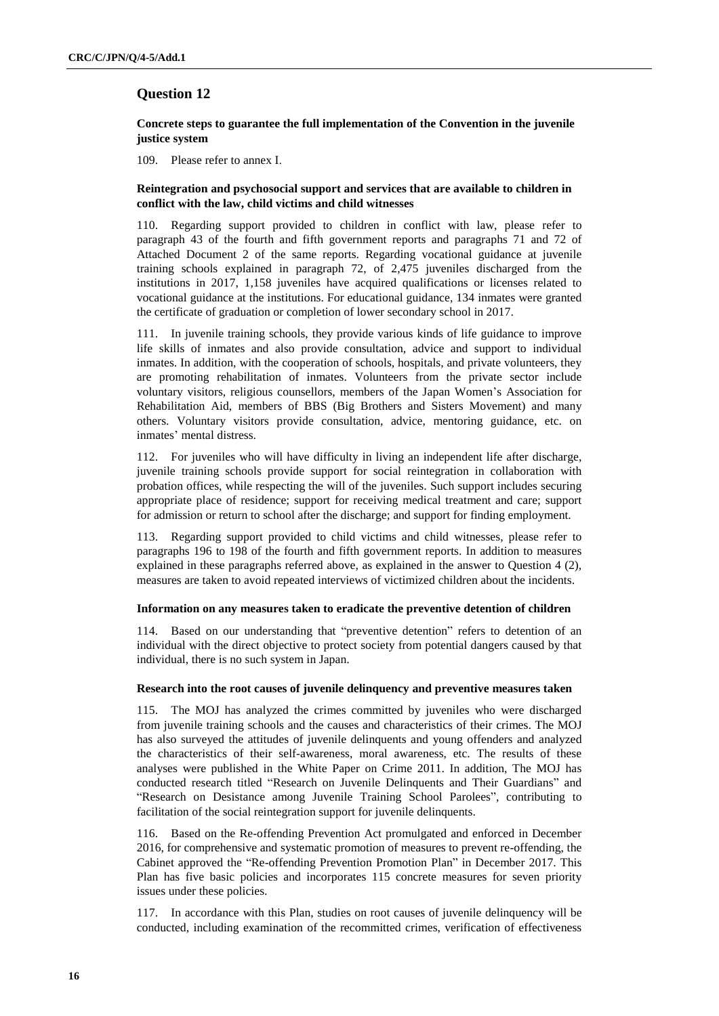# **Question 12**

### **Concrete steps to guarantee the full implementation of the Convention in the juvenile justice system**

109. Please refer to annex Ⅰ.

### **Reintegration and psychosocial support and services that are available to children in conflict with the law, child victims and child witnesses**

110. Regarding support provided to children in conflict with law, please refer to paragraph 43 of the fourth and fifth government reports and paragraphs 71 and 72 of Attached Document 2 of the same reports. Regarding vocational guidance at juvenile training schools explained in paragraph 72, of 2,475 juveniles discharged from the institutions in 2017, 1,158 juveniles have acquired qualifications or licenses related to vocational guidance at the institutions. For educational guidance, 134 inmates were granted the certificate of graduation or completion of lower secondary school in 2017.

111. In juvenile training schools, they provide various kinds of life guidance to improve life skills of inmates and also provide consultation, advice and support to individual inmates. In addition, with the cooperation of schools, hospitals, and private volunteers, they are promoting rehabilitation of inmates. Volunteers from the private sector include voluntary visitors, religious counsellors, members of the Japan Women's Association for Rehabilitation Aid, members of BBS (Big Brothers and Sisters Movement) and many others. Voluntary visitors provide consultation, advice, mentoring guidance, etc. on inmates' mental distress.

112. For juveniles who will have difficulty in living an independent life after discharge, juvenile training schools provide support for social reintegration in collaboration with probation offices, while respecting the will of the juveniles. Such support includes securing appropriate place of residence; support for receiving medical treatment and care; support for admission or return to school after the discharge; and support for finding employment.

113. Regarding support provided to child victims and child witnesses, please refer to paragraphs 196 to 198 of the fourth and fifth government reports. In addition to measures explained in these paragraphs referred above, as explained in the answer to Question 4 (2), measures are taken to avoid repeated interviews of victimized children about the incidents.

### **Information on any measures taken to eradicate the preventive detention of children**

114. Based on our understanding that "preventive detention" refers to detention of an individual with the direct objective to protect society from potential dangers caused by that individual, there is no such system in Japan.

#### **Research into the root causes of juvenile delinquency and preventive measures taken**

115. The MOJ has analyzed the crimes committed by juveniles who were discharged from juvenile training schools and the causes and characteristics of their crimes. The MOJ has also surveyed the attitudes of juvenile delinquents and young offenders and analyzed the characteristics of their self-awareness, moral awareness, etc. The results of these analyses were published in the White Paper on Crime 2011. In addition, The MOJ has conducted research titled "Research on Juvenile Delinquents and Their Guardians" and "Research on Desistance among Juvenile Training School Parolees", contributing to facilitation of the social reintegration support for juvenile delinquents.

116. Based on the Re-offending Prevention Act promulgated and enforced in December 2016, for comprehensive and systematic promotion of measures to prevent re-offending, the Cabinet approved the "Re-offending Prevention Promotion Plan" in December 2017. This Plan has five basic policies and incorporates 115 concrete measures for seven priority issues under these policies.

117. In accordance with this Plan, studies on root causes of juvenile delinquency will be conducted, including examination of the recommitted crimes, verification of effectiveness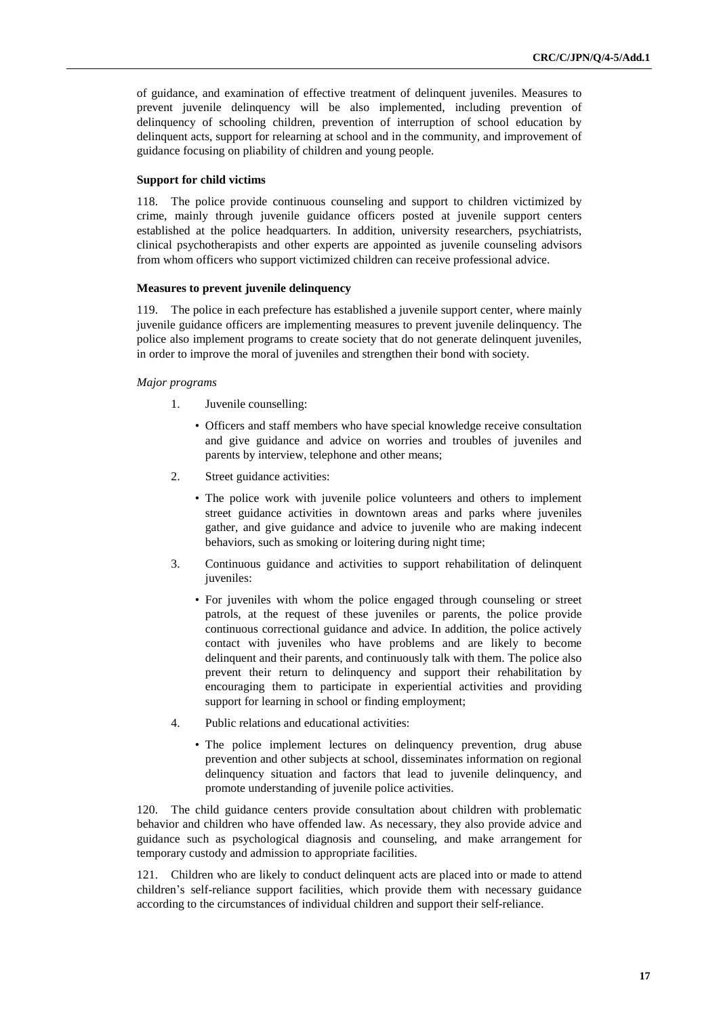of guidance, and examination of effective treatment of delinquent juveniles. Measures to prevent juvenile delinquency will be also implemented, including prevention of delinquency of schooling children, prevention of interruption of school education by delinquent acts, support for relearning at school and in the community, and improvement of guidance focusing on pliability of children and young people.

#### **Support for child victims**

118. The police provide continuous counseling and support to children victimized by crime, mainly through juvenile guidance officers posted at juvenile support centers established at the police headquarters. In addition, university researchers, psychiatrists, clinical psychotherapists and other experts are appointed as juvenile counseling advisors from whom officers who support victimized children can receive professional advice.

### **Measures to prevent juvenile delinquency**

119. The police in each prefecture has established a juvenile support center, where mainly juvenile guidance officers are implementing measures to prevent juvenile delinquency. The police also implement programs to create society that do not generate delinquent juveniles, in order to improve the moral of juveniles and strengthen their bond with society.

### *Major programs*

- 1. Juvenile counselling:
	- Officers and staff members who have special knowledge receive consultation and give guidance and advice on worries and troubles of juveniles and parents by interview, telephone and other means;
- 2. Street guidance activities:
	- The police work with juvenile police volunteers and others to implement street guidance activities in downtown areas and parks where juveniles gather, and give guidance and advice to juvenile who are making indecent behaviors, such as smoking or loitering during night time;
- 3. Continuous guidance and activities to support rehabilitation of delinquent iuveniles:
	- For juveniles with whom the police engaged through counseling or street patrols, at the request of these juveniles or parents, the police provide continuous correctional guidance and advice. In addition, the police actively contact with juveniles who have problems and are likely to become delinquent and their parents, and continuously talk with them. The police also prevent their return to delinquency and support their rehabilitation by encouraging them to participate in experiential activities and providing support for learning in school or finding employment;
- 4. Public relations and educational activities:
	- The police implement lectures on delinquency prevention, drug abuse prevention and other subjects at school, disseminates information on regional delinquency situation and factors that lead to juvenile delinquency, and promote understanding of juvenile police activities.

120. The child guidance centers provide consultation about children with problematic behavior and children who have offended law. As necessary, they also provide advice and guidance such as psychological diagnosis and counseling, and make arrangement for temporary custody and admission to appropriate facilities.

121. Children who are likely to conduct delinquent acts are placed into or made to attend children's self-reliance support facilities, which provide them with necessary guidance according to the circumstances of individual children and support their self-reliance.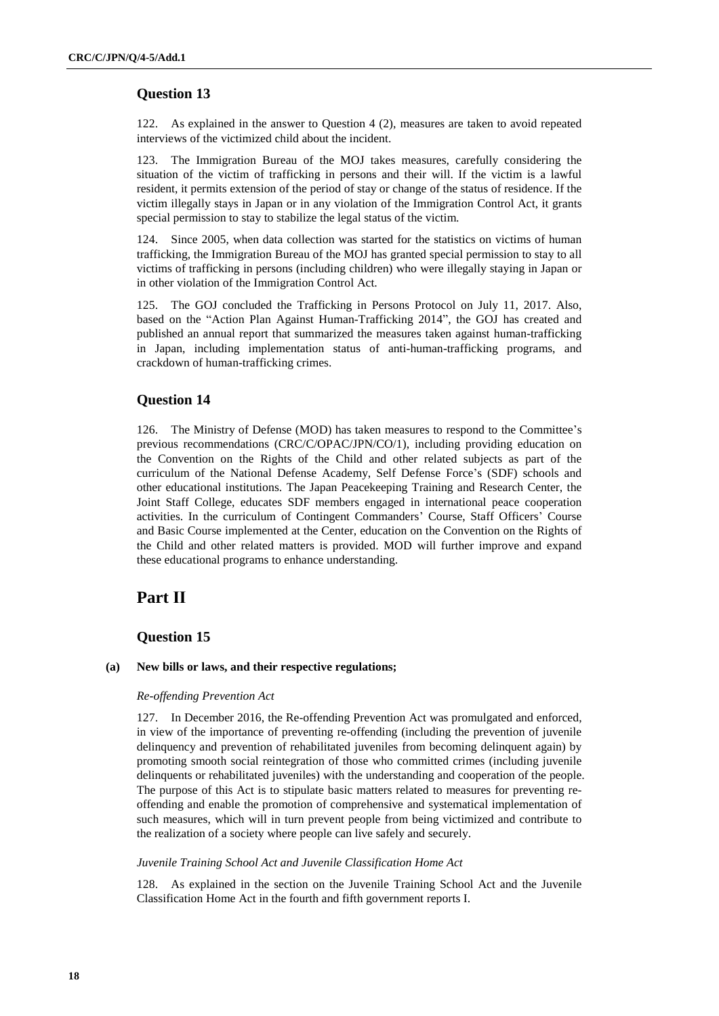# **Question 13**

122. As explained in the answer to Question 4 (2), measures are taken to avoid repeated interviews of the victimized child about the incident.

123. The Immigration Bureau of the MOJ takes measures, carefully considering the situation of the victim of trafficking in persons and their will. If the victim is a lawful resident, it permits extension of the period of stay or change of the status of residence. If the victim illegally stays in Japan or in any violation of the Immigration Control Act, it grants special permission to stay to stabilize the legal status of the victim.

124. Since 2005, when data collection was started for the statistics on victims of human trafficking, the Immigration Bureau of the MOJ has granted special permission to stay to all victims of trafficking in persons (including children) who were illegally staying in Japan or in other violation of the Immigration Control Act.

125. The GOJ concluded the Trafficking in Persons Protocol on July 11, 2017. Also, based on the "Action Plan Against Human-Trafficking 2014", the GOJ has created and published an annual report that summarized the measures taken against human-trafficking in Japan, including implementation status of anti-human-trafficking programs, and crackdown of human-trafficking crimes.

# **Question 14**

126. The Ministry of Defense (MOD) has taken measures to respond to the Committee's previous recommendations (CRC/C/OPAC/JPN/CO/1), including providing education on the Convention on the Rights of the Child and other related subjects as part of the curriculum of the National Defense Academy, Self Defense Force's (SDF) schools and other educational institutions. The Japan Peacekeeping Training and Research Center, the Joint Staff College, educates SDF members engaged in international peace cooperation activities. In the curriculum of Contingent Commanders' Course, Staff Officers' Course and Basic Course implemented at the Center, education on the Convention on the Rights of the Child and other related matters is provided. MOD will further improve and expand these educational programs to enhance understanding.

# **Part Ⅱ**

# **Question 15**

### **(a) New bills or laws, and their respective regulations;**

#### *Re-offending Prevention Act*

127. In December 2016, the Re-offending Prevention Act was promulgated and enforced, in view of the importance of preventing re-offending (including the prevention of juvenile delinquency and prevention of rehabilitated juveniles from becoming delinquent again) by promoting smooth social reintegration of those who committed crimes (including juvenile delinquents or rehabilitated juveniles) with the understanding and cooperation of the people. The purpose of this Act is to stipulate basic matters related to measures for preventing reoffending and enable the promotion of comprehensive and systematical implementation of such measures, which will in turn prevent people from being victimized and contribute to the realization of a society where people can live safely and securely.

### *Juvenile Training School Act and Juvenile Classification Home Act*

128. As explained in the section on the Juvenile Training School Act and the Juvenile Classification Home Act in the fourth and fifth government reports I.